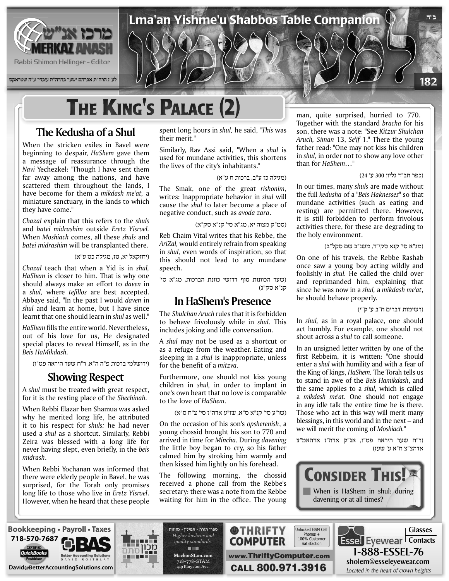

**לע"נ הרה"ת אברהם ישעי' בהרה"ת עובדי' ע"ה שטראקס**

# **THE KING'S PALACE (2)**

### **The Kedusha of a Shul**

When the stricken exiles in Bavel were beginning to despair, *HaShem* gave them a message of reassurance through the Navi Yechezkel: "Though I have sent them far away among the nations, and have scattered them throughout the lands, I have become for them a *mikdash me'at*, a miniature sanctuary, in the lands to which they have come."

*Chazal* explain that this refers to the *shuls* and *batei midrashim* outside *Eretz Yisroel*. When *Moshiach* comes, all these *shuls* and batei midrashim will be transplanted there.

(יחזקאל יא, טז, מגילה כט ע"א)

*Chazal* teach that when a Yid is in *shul*. HaShem is closer to him. That is why one should always make an effort to *daven* in a *shul*, where *tefillos* are best accepted. Abbaye said. "In the past I would *daven* in shul and learn at home, but I have since learnt that one should learn in *shul* as well."

HaShem fills the entire world. Nevertheless. out of his love for us, He designated special places to reveal Himself, as in the *.HaMikdash Beis*

(ירושלמי ברכות פ"ה ה"א, ר"ח שער היראה פט"ו)

#### **Showing Respect**

A shul must be treated with great respect, for it is the resting place of the *Shechinah*.

When Rebbi Elazar ben Shamua was asked why he merited long life, he attributed it to his respect for *shuls*: he had never used a *shul* as a shortcut. Similarly, Rebbi Zeira was blessed with a long life for never having slept, even briefly, in the *beis* .*midrash*

When Rebbi Yochanan was informed that there were elderly people in Bavel, he was surprised, for the Torah only promises long life to those who live in *Eretz Yisroel*. However, when he heard that these people spent long hours in *shul*, he said, "This was their merit."

Similarly, Rav Assi said, "When a shul is used for mundane activities, this shortens the lives of the city's inhabitants."

(מגילה כז ע"ב, ברכות ח ע"א)

Lma'an Yishme'u Shabbos Table Companion

The Smak, one of the great rishonim, writes: Inappropriate behavior in shul will cause the *shul* to later become a place of negative conduct, such as *avoda zara*.

(סמ"ק מצוה יא, מג"א סי' קנ"א סק"א)

Reb Chaim Vital writes that his Rebbe, the AriZal, would entirely refrain from speaking in shul, even words of inspiration, so that this should not lead to any mundane .speech

(שער הכוונות סוף דרושי כוונת הברכות, מג"א סי' קנ"א סק"ג)

#### **In HaShem's Presence**

The *Shulchan Aruch* rules that it is forbidden to behave frivolously while in shul. This includes joking and idle conversation.

A shul may not be used as a shortcut or as a refuge from the weather. Eating and sleeping in a *shul* is inappropriate, unless for the benefit of a *mitzva*.

Furthermore, one should not kiss young children in *shul*, in order to implant in one's own heart that no love is comparable to the love of *HaShem*.

(שו"ע סי' קנ"א ס"א, שו"ע אדה"ז סי' צ"ח ס"א)

On the occasion of his son's *opsherenish*, a young chossid brought his son to 770 and *arrived in time for Mincha. During davening* the little boy began to cry, so his father calmed him by stroking him warmly and then kissed him lightly on his forehead.

The following morning, the chossid received a phone call from the Rebbe's secretary: there was a note from the Rebbe waiting for him in the office. The young

man, quite surprised, hurried to 770. Together with the standard bracha for his son, there was a note: "See Kitzur Shulchan Aruch, Siman 13, Se'if 1." There the young father read: "One may not kiss his children in *shul*, in order not to show any love other than for *HaShem...*"

#### (כפר חב"ד גליון 300 ע' 24)

**ב"ה**

182

In our times, many *shuls* are made without the full kedusha of a "Beis Haknesses" so that mundane activities (such as eating and resting) are permitted there. However, it is still forbidden to perform frivolous activities there, for these are degrading to the holy environment.

(מג"א סי' קנא סקי"ד, משנ"ב שם סקל"ב)

On one of his travels, the Rebbe Rashab once saw a young boy acting wildly and foolishly in *shul*. He called the child over and reprimanded him, explaining that since he was now in a *shul*, a *mikdash me'at*, he should behave properly.

(רשימות דברים ח"ב ע' ק"י)

In *shul*, as in a royal palace, one should act humbly. For example, one should not shout across a *shul* to call someone.

In an unsigned letter written by one of the first Rebbeim, it is written: "One should enter a *shul* with humility and with a fear of the King of kings, *HaShem*. The Torah tells us to stand in awe of the Beis Hamikdash, and the same applies to a *shul*, which is called a *mikdash me'at*. One should not engage in any idle talk the entire time he is there. Those who act in this way will merit many blessings, in this world and in the next  $-$  and we will merit the coming of *Moshiach*."

(ר"ח שער היראה פט"ו, אג"ק אדה"ז אדהאמ"צ אדהצ"צ ח"א ע' שעז)